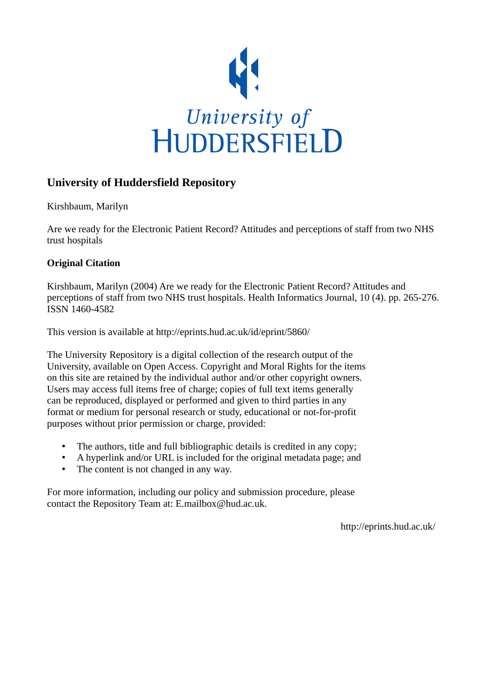

# **University of Huddersfield Repository**

Kirshbaum, Marilyn

Are we ready for the Electronic Patient Record? Attitudes and perceptions of staff from two NHS trust hospitals

# **Original Citation**

Kirshbaum, Marilyn (2004) Are we ready for the Electronic Patient Record? Attitudes and perceptions of staff from two NHS trust hospitals. Health Informatics Journal, 10 (4). pp. 265-276. ISSN 1460-4582

This version is available at http://eprints.hud.ac.uk/id/eprint/5860/

The University Repository is a digital collection of the research output of the University, available on Open Access. Copyright and Moral Rights for the items on this site are retained by the individual author and/or other copyright owners. Users may access full items free of charge; copies of full text items generally can be reproduced, displayed or performed and given to third parties in any format or medium for personal research or study, educational or not-for-profit purposes without prior permission or charge, provided:

- The authors, title and full bibliographic details is credited in any copy;
- A hyperlink and/or URL is included for the original metadata page; and
- The content is not changed in any way.

For more information, including our policy and submission procedure, please contact the Repository Team at: E.mailbox@hud.ac.uk.

http://eprints.hud.ac.uk/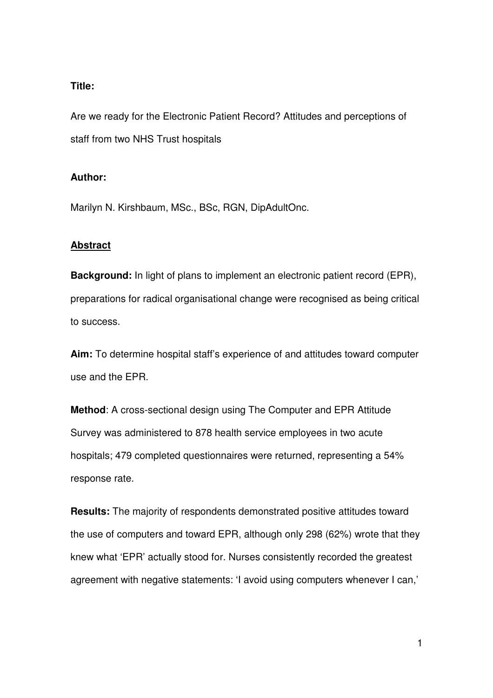# **Title:**

Are we ready for the Electronic Patient Record? Attitudes and perceptions of staff from two NHS Trust hospitals

# **Author:**

Marilyn N. Kirshbaum, MSc., BSc, RGN, DipAdultOnc.

# **Abstract**

**Background:** In light of plans to implement an electronic patient record (EPR), preparations for radical organisational change were recognised as being critical to success.

**Aim:** To determine hospital staff's experience of and attitudes toward computer use and the EPR.

**Method**: A cross-sectional design using The Computer and EPR Attitude Survey was administered to 878 health service employees in two acute hospitals; 479 completed questionnaires were returned, representing a 54% response rate.

**Results:** The majority of respondents demonstrated positive attitudes toward the use of computers and toward EPR, although only 298 (62%) wrote that they knew what 'EPR' actually stood for. Nurses consistently recorded the greatest agreement with negative statements: 'I avoid using computers whenever I can,'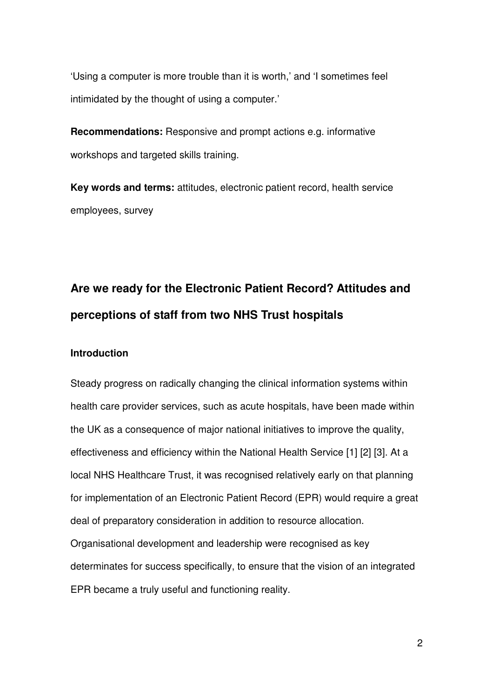'Using a computer is more trouble than it is worth,' and 'I sometimes feel intimidated by the thought of using a computer.'

**Recommendations:** Responsive and prompt actions e.g. informative workshops and targeted skills training.

**Key words and terms:** attitudes, electronic patient record, health service employees, survey

# **Are we ready for the Electronic Patient Record? Attitudes and perceptions of staff from two NHS Trust hospitals**

## **Introduction**

Steady progress on radically changing the clinical information systems within health care provider services, such as acute hospitals, have been made within the UK as a consequence of major national initiatives to improve the quality, effectiveness and efficiency within the National Health Service [1] [2] [3]. At a local NHS Healthcare Trust, it was recognised relatively early on that planning for implementation of an Electronic Patient Record (EPR) would require a great deal of preparatory consideration in addition to resource allocation. Organisational development and leadership were recognised as key determinates for success specifically, to ensure that the vision of an integrated EPR became a truly useful and functioning reality.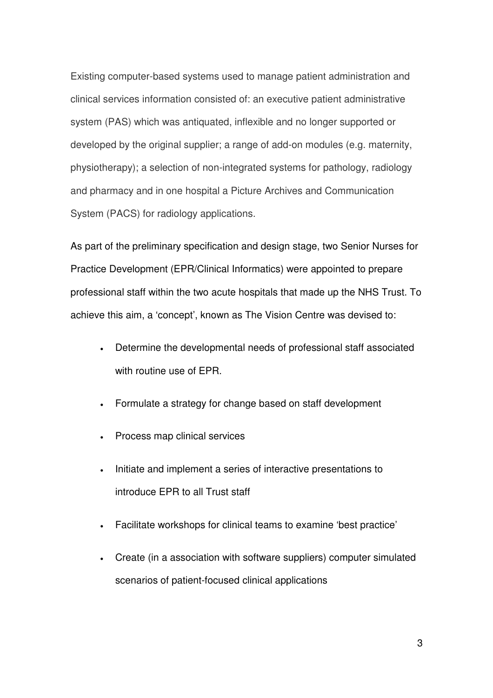Existing computer-based systems used to manage patient administration and clinical services information consisted of: an executive patient administrative system (PAS) which was antiquated, inflexible and no longer supported or developed by the original supplier; a range of add-on modules (e.g. maternity, physiotherapy); a selection of non-integrated systems for pathology, radiology and pharmacy and in one hospital a Picture Archives and Communication System (PACS) for radiology applications.

As part of the preliminary specification and design stage, two Senior Nurses for Practice Development (EPR/Clinical Informatics) were appointed to prepare professional staff within the two acute hospitals that made up the NHS Trust. To achieve this aim, a 'concept', known as The Vision Centre was devised to:

- Determine the developmental needs of professional staff associated with routine use of EPR.
- Formulate a strategy for change based on staff development
- Process map clinical services
- Initiate and implement a series of interactive presentations to introduce EPR to all Trust staff
- Facilitate workshops for clinical teams to examine 'best practice'
- Create (in a association with software suppliers) computer simulated scenarios of patient-focused clinical applications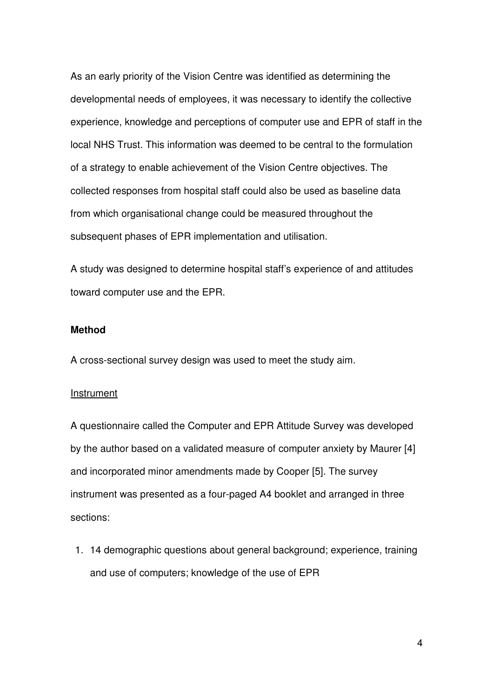As an early priority of the Vision Centre was identified as determining the developmental needs of employees, it was necessary to identify the collective experience, knowledge and perceptions of computer use and EPR of staff in the local NHS Trust. This information was deemed to be central to the formulation of a strategy to enable achievement of the Vision Centre objectives. The collected responses from hospital staff could also be used as baseline data from which organisational change could be measured throughout the subsequent phases of EPR implementation and utilisation.

A study was designed to determine hospital staff's experience of and attitudes toward computer use and the EPR.

# **Method**

A cross-sectional survey design was used to meet the study aim.

#### Instrument

A questionnaire called the Computer and EPR Attitude Survey was developed by the author based on a validated measure of computer anxiety by Maurer [4] and incorporated minor amendments made by Cooper [5]. The survey instrument was presented as a four-paged A4 booklet and arranged in three sections:

1. 14 demographic questions about general background; experience, training and use of computers; knowledge of the use of EPR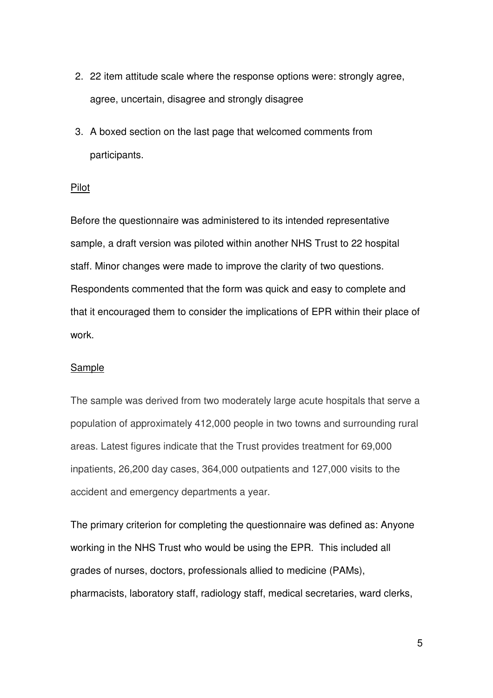- 2. 22 item attitude scale where the response options were: strongly agree, agree, uncertain, disagree and strongly disagree
- 3. A boxed section on the last page that welcomed comments from participants.

### Pilot

Before the questionnaire was administered to its intended representative sample, a draft version was piloted within another NHS Trust to 22 hospital staff. Minor changes were made to improve the clarity of two questions. Respondents commented that the form was quick and easy to complete and that it encouraged them to consider the implications of EPR within their place of work.

# Sample

The sample was derived from two moderately large acute hospitals that serve a population of approximately 412,000 people in two towns and surrounding rural areas. Latest figures indicate that the Trust provides treatment for 69,000 inpatients, 26,200 day cases, 364,000 outpatients and 127,000 visits to the accident and emergency departments a year.

The primary criterion for completing the questionnaire was defined as: Anyone working in the NHS Trust who would be using the EPR. This included all grades of nurses, doctors, professionals allied to medicine (PAMs), pharmacists, laboratory staff, radiology staff, medical secretaries, ward clerks,

5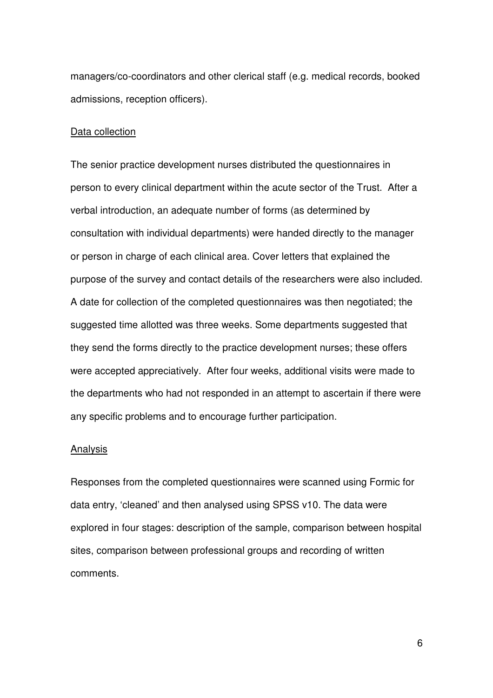managers/co-coordinators and other clerical staff (e.g. medical records, booked admissions, reception officers).

#### Data collection

The senior practice development nurses distributed the questionnaires in person to every clinical department within the acute sector of the Trust. After a verbal introduction, an adequate number of forms (as determined by consultation with individual departments) were handed directly to the manager or person in charge of each clinical area. Cover letters that explained the purpose of the survey and contact details of the researchers were also included. A date for collection of the completed questionnaires was then negotiated; the suggested time allotted was three weeks. Some departments suggested that they send the forms directly to the practice development nurses; these offers were accepted appreciatively. After four weeks, additional visits were made to the departments who had not responded in an attempt to ascertain if there were any specific problems and to encourage further participation.

#### Analysis

Responses from the completed questionnaires were scanned using Formic for data entry, 'cleaned' and then analysed using SPSS v10. The data were explored in four stages: description of the sample, comparison between hospital sites, comparison between professional groups and recording of written comments.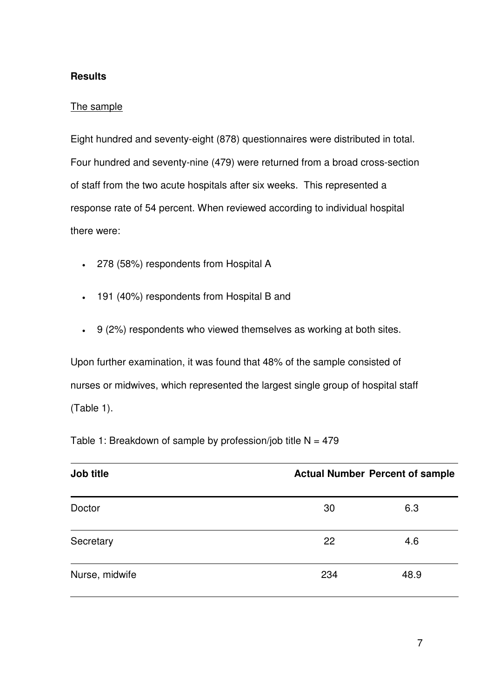# **Results**

# The sample

Eight hundred and seventy-eight (878) questionnaires were distributed in total. Four hundred and seventy-nine (479) were returned from a broad cross-section of staff from the two acute hospitals after six weeks. This represented a response rate of 54 percent. When reviewed according to individual hospital there were:

- 278 (58%) respondents from Hospital A
- 191 (40%) respondents from Hospital B and
- 9 (2%) respondents who viewed themselves as working at both sites.

Upon further examination, it was found that 48% of the sample consisted of nurses or midwives, which represented the largest single group of hospital staff (Table 1).

Table 1: Breakdown of sample by profession/job title  $N = 479$ 

| Job title      |     | <b>Actual Number Percent of sample</b> |  |  |
|----------------|-----|----------------------------------------|--|--|
| Doctor         | 30  | 6.3                                    |  |  |
| Secretary      | 22  | 4.6                                    |  |  |
| Nurse, midwife | 234 | 48.9                                   |  |  |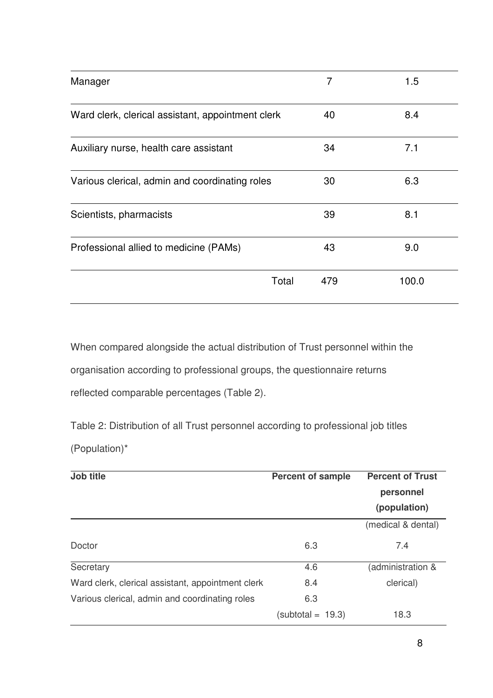| Manager                                           | 7   | 1.5   |
|---------------------------------------------------|-----|-------|
| Ward clerk, clerical assistant, appointment clerk | 40  | 8.4   |
| Auxiliary nurse, health care assistant            | 34  | 7.1   |
| Various clerical, admin and coordinating roles    | 30  | 6.3   |
| Scientists, pharmacists                           | 39  | 8.1   |
| Professional allied to medicine (PAMs)            | 43  | 9.0   |
| Total                                             | 479 | 100.0 |

When compared alongside the actual distribution of Trust personnel within the organisation according to professional groups, the questionnaire returns reflected comparable percentages (Table 2).

Table 2: Distribution of all Trust personnel according to professional job titles (Population)\*

| Job title                                         | <b>Percent of sample</b> | <b>Percent of Trust</b> |
|---------------------------------------------------|--------------------------|-------------------------|
|                                                   |                          | personnel               |
|                                                   |                          | (population)            |
|                                                   |                          | (medical & dental)      |
| Doctor                                            | 6.3                      | 7.4                     |
| Secretary                                         | 4.6                      | (administration &       |
| Ward clerk, clerical assistant, appointment clerk | 8.4                      | clerical)               |
| Various clerical, admin and coordinating roles    | 6.3                      |                         |
|                                                   | $subtotal = 19.3$        | 18.3                    |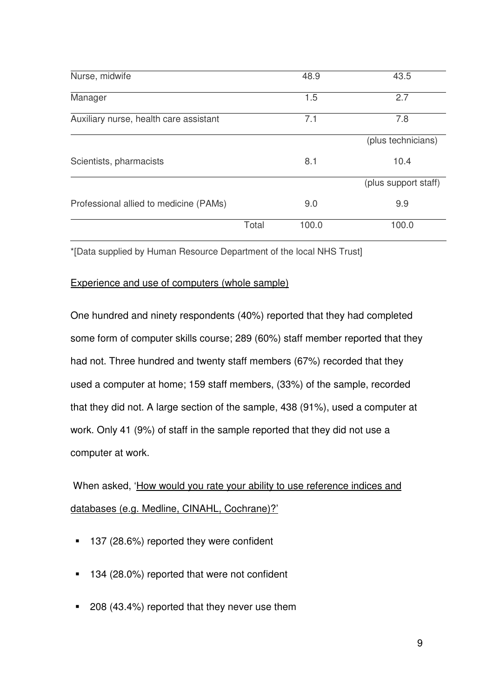| Nurse, midwife                         |       | 48.9  | 43.5                 |
|----------------------------------------|-------|-------|----------------------|
| Manager                                |       | 1.5   | 2.7                  |
| Auxiliary nurse, health care assistant |       | 7.1   | 7.8                  |
|                                        |       |       | (plus technicians)   |
| Scientists, pharmacists                |       | 8.1   | 10.4                 |
|                                        |       |       | (plus support staff) |
| Professional allied to medicine (PAMs) |       | 9.0   | 9.9                  |
|                                        | Total | 100.0 | 100.0                |

\*[Data supplied by Human Resource Department of the local NHS Trust]

# Experience and use of computers (whole sample)

One hundred and ninety respondents (40%) reported that they had completed some form of computer skills course; 289 (60%) staff member reported that they had not. Three hundred and twenty staff members (67%) recorded that they used a computer at home; 159 staff members, (33%) of the sample, recorded that they did not. A large section of the sample, 438 (91%), used a computer at work. Only 41 (9%) of staff in the sample reported that they did not use a computer at work.

 When asked, 'How would you rate your ability to use reference indices and databases (e.g. Medline, CINAHL, Cochrane)?'

- 137 (28.6%) reported they were confident
- <sup>1</sup> 134 (28.0%) reported that were not confident
- 208 (43.4%) reported that they never use them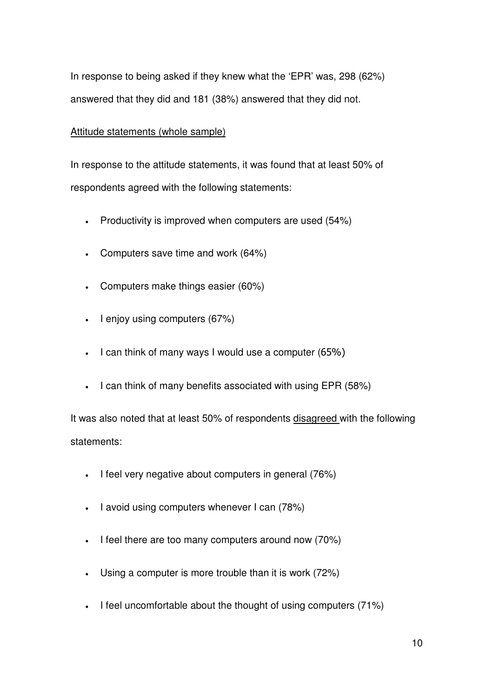In response to being asked if they knew what the 'EPR' was, 298 (62%) answered that they did and 181 (38%) answered that they did not.

# Attitude statements (whole sample)

In response to the attitude statements, it was found that at least 50% of respondents agreed with the following statements:

- Productivity is improved when computers are used (54%)
- Computers save time and work (64%)
- Computers make things easier (60%)
- I enjoy using computers (67%)
- I can think of many ways I would use a computer (65%)
- I can think of many benefits associated with using EPR (58%)

It was also noted that at least 50% of respondents disagreed with the following statements:

- I feel very negative about computers in general (76%)
- I avoid using computers whenever I can (78%)
- I feel there are too many computers around now (70%)
- Using a computer is more trouble than it is work (72%)
- I feel uncomfortable about the thought of using computers (71%)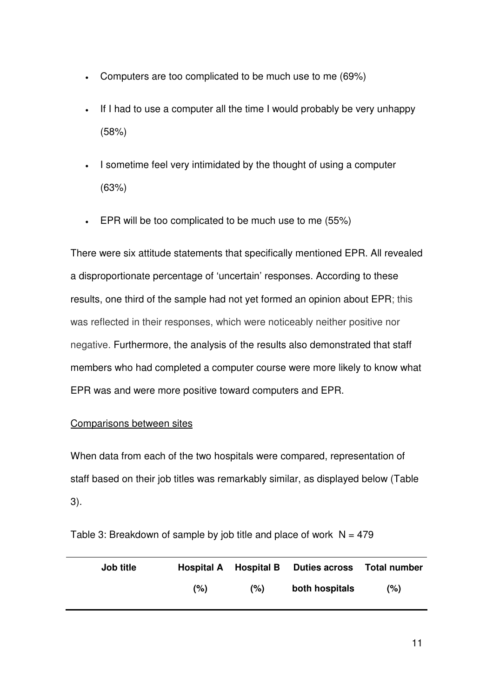- Computers are too complicated to be much use to me (69%)
- If I had to use a computer all the time I would probably be very unhappy (58%)
- I sometime feel very intimidated by the thought of using a computer (63%)
- EPR will be too complicated to be much use to me (55%)

There were six attitude statements that specifically mentioned EPR. All revealed a disproportionate percentage of 'uncertain' responses. According to these results, one third of the sample had not yet formed an opinion about EPR; this was reflected in their responses, which were noticeably neither positive nor negative. Furthermore, the analysis of the results also demonstrated that staff members who had completed a computer course were more likely to know what EPR was and were more positive toward computers and EPR.

# Comparisons between sites

When data from each of the two hospitals were compared, representation of staff based on their job titles was remarkably similar, as displayed below (Table 3).

Table 3: Breakdown of sample by job title and place of work  $N = 479$ 

| Job title |      |     | Hospital A Hospital B Duties across Total number |     |
|-----------|------|-----|--------------------------------------------------|-----|
|           | (% ) | (%) | both hospitals                                   | (%) |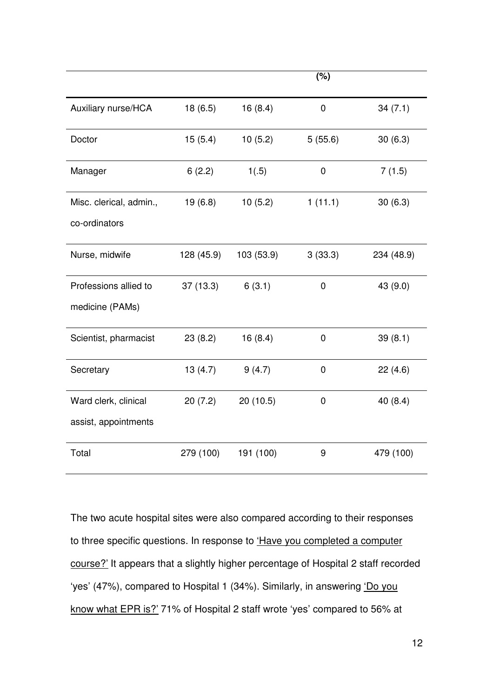|                         |            |            | (%)         |            |
|-------------------------|------------|------------|-------------|------------|
| Auxiliary nurse/HCA     | 18(6.5)    | 16(8.4)    | 0           | 34(7.1)    |
| Doctor                  | 15(5.4)    | 10(5.2)    | 5(55.6)     | 30(6.3)    |
| Manager                 | 6(2.2)     | 1(.5)      | 0           | 7(1.5)     |
| Misc. clerical, admin., | 19(6.8)    | 10(5.2)    | 1(11.1)     | 30(6.3)    |
| co-ordinators           |            |            |             |            |
| Nurse, midwife          | 128 (45.9) | 103 (53.9) | 3(33.3)     | 234 (48.9) |
| Professions allied to   | 37(13.3)   | 6(3.1)     | $\mathbf 0$ | 43 (9.0)   |
| medicine (PAMs)         |            |            |             |            |
| Scientist, pharmacist   | 23(8.2)    | 16(8.4)    | 0           | 39(8.1)    |
| Secretary               | 13(4.7)    | 9(4.7)     | $\mathbf 0$ | 22(4.6)    |
| Ward clerk, clinical    | 20(7.2)    | 20(10.5)   | $\pmb{0}$   | 40 (8.4)   |
| assist, appointments    |            |            |             |            |
| Total                   | 279 (100)  | 191 (100)  | 9           | 479 (100)  |

The two acute hospital sites were also compared according to their responses to three specific questions. In response to *'Have you completed a computer* course?' It appears that a slightly higher percentage of Hospital 2 staff recorded 'yes' (47%), compared to Hospital 1 (34%). Similarly, in answering 'Do you know what EPR is?' 71% of Hospital 2 staff wrote 'yes' compared to 56% at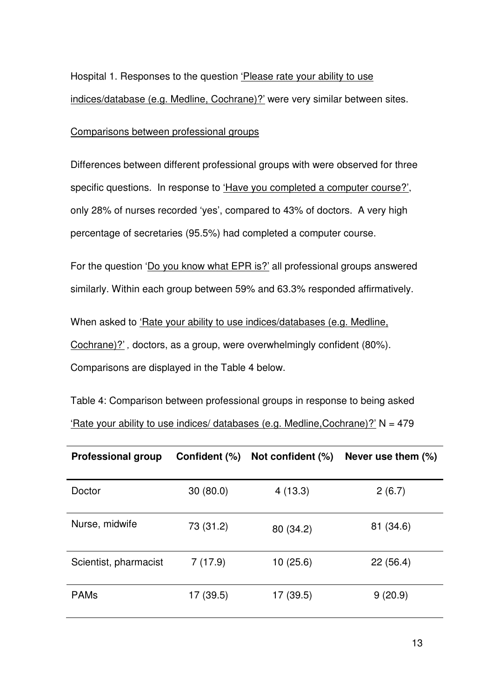Hospital 1. Responses to the question 'Please rate your ability to use indices/database (e.g. Medline, Cochrane)?' were very similar between sites.

Comparisons between professional groups

Differences between different professional groups with were observed for three specific questions. In response to 'Have you completed a computer course?', only 28% of nurses recorded 'yes', compared to 43% of doctors. A very high percentage of secretaries (95.5%) had completed a computer course.

For the question 'Do you know what EPR is?' all professional groups answered similarly. Within each group between 59% and 63.3% responded affirmatively.

When asked to 'Rate your ability to use indices/databases (e.g. Medline, Cochrane)?' *,* doctors, as a group, were overwhelmingly confident (80%). Comparisons are displayed in the Table 4 below.

Table 4: Comparison between professional groups in response to being asked 'Rate your ability to use indices/ databases (e.g. Medline, Cochrane)?'  $N = 479$ 

| <b>Professional group</b> | Confident (%) | Not confident (%) | Never use them $(\%)$ |
|---------------------------|---------------|-------------------|-----------------------|
| Doctor                    | 30(80.0)      | 4(13.3)           | 2(6.7)                |
| Nurse, midwife            | 73 (31.2)     | 80 (34.2)         | 81 (34.6)             |
| Scientist, pharmacist     | 7(17.9)       | 10(25.6)          | 22(56.4)              |
| <b>PAMs</b>               | 17 (39.5)     | 17 (39.5)         | 9(20.9)               |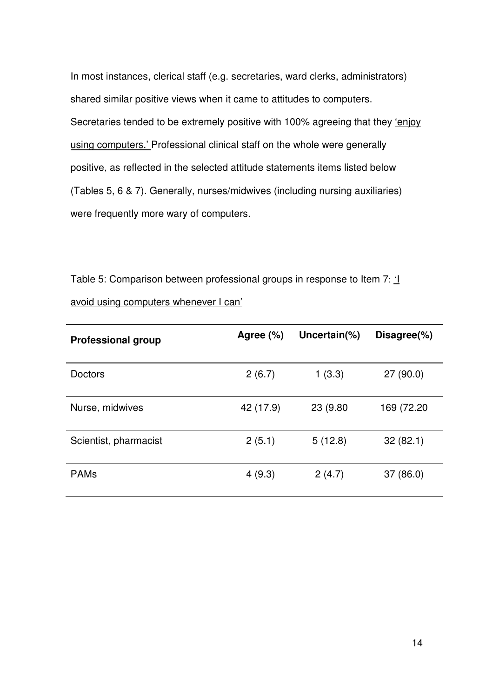In most instances, clerical staff (e.g. secretaries, ward clerks, administrators) shared similar positive views when it came to attitudes to computers. Secretaries tended to be extremely positive with 100% agreeing that they 'enjoy using computers.' Professional clinical staff on the whole were generally positive, as reflected in the selected attitude statements items listed below (Tables 5, 6 & 7). Generally, nurses/midwives (including nursing auxiliaries) were frequently more wary of computers.

Table 5: Comparison between professional groups in response to Item 7:  $\underline{1}$ avoid using computers whenever I can'

| <b>Professional group</b> | Agree $(\%)$ | Uncertain(%) | Disagree(%) |
|---------------------------|--------------|--------------|-------------|
| <b>Doctors</b>            | 2(6.7)       | 1(3.3)       | 27(90.0)    |
| Nurse, midwives           | 42 (17.9)    | 23 (9.80)    | 169 (72.20  |
| Scientist, pharmacist     | 2(5.1)       | 5(12.8)      | 32(82.1)    |
| <b>PAMs</b>               | 4(9.3)       | 2(4.7)       | 37 (86.0)   |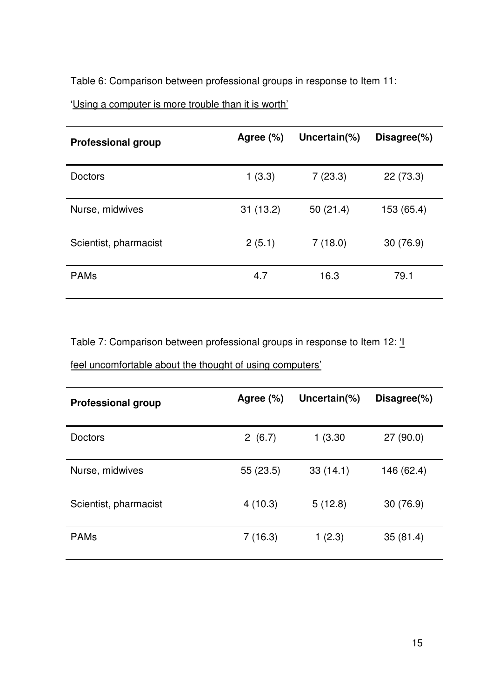Table 6: Comparison between professional groups in response to Item 11:

'Using a computer is more trouble than it is worth'

| <b>Professional group</b> | Agree $(\%)$ | Uncertain(%) | Disagree(%) |
|---------------------------|--------------|--------------|-------------|
| <b>Doctors</b>            | 1(3.3)       | 7(23.3)      | 22 (73.3)   |
| Nurse, midwives           | 31(13.2)     | 50(21.4)     | 153 (65.4)  |
| Scientist, pharmacist     | 2(5.1)       | 7(18.0)      | 30 (76.9)   |
| <b>PAMs</b>               | 4.7          | 16.3         | 79.1        |

Table 7: Comparison between professional groups in response to Item 12: '

|  |  | feel uncomfortable about the thought of using computers' |  |  |  |  |  |  |
|--|--|----------------------------------------------------------|--|--|--|--|--|--|
|--|--|----------------------------------------------------------|--|--|--|--|--|--|

| <b>Professional group</b> | Agree (%) | Uncertain $(\%)$ | Disagree(%) |
|---------------------------|-----------|------------------|-------------|
| <b>Doctors</b>            | 2(6.7)    | 1(3.30)          | 27(90.0)    |
| Nurse, midwives           | 55 (23.5) | 33(14.1)         | 146 (62.4)  |
| Scientist, pharmacist     | 4(10.3)   | 5(12.8)          | 30(76.9)    |
| <b>PAMs</b>               | 7(16.3)   | 1(2.3)           | 35(81.4)    |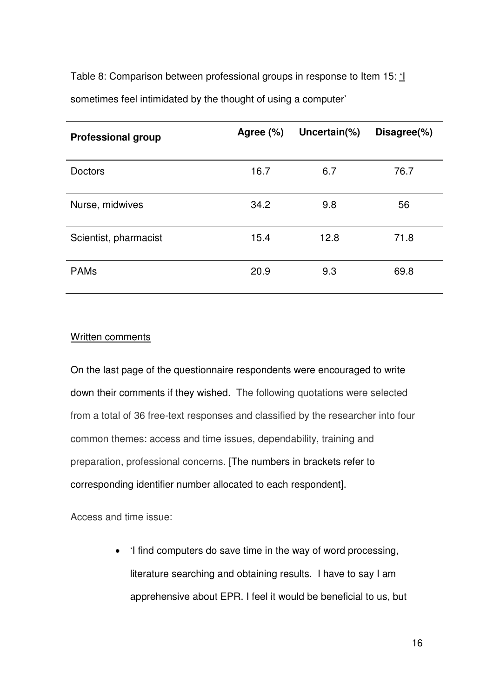Table 8: Comparison between professional groups in response to Item 15: ' sometimes feel intimidated by the thought of using a computer'

| <b>Professional group</b> | Agree (%) | Uncertain(%) | Disagree(%) |
|---------------------------|-----------|--------------|-------------|
| <b>Doctors</b>            | 16.7      | 6.7          | 76.7        |
| Nurse, midwives           | 34.2      | 9.8          | 56          |
| Scientist, pharmacist     | 15.4      | 12.8         | 71.8        |
| <b>PAMs</b>               | 20.9      | 9.3          | 69.8        |

# Written comments

On the last page of the questionnaire respondents were encouraged to write down their comments if they wished. The following quotations were selected from a total of 36 free-text responses and classified by the researcher into four common themes: access and time issues, dependability, training and preparation, professional concerns. [The numbers in brackets refer to corresponding identifier number allocated to each respondent].

Access and time issue:

• 'I find computers do save time in the way of word processing, literature searching and obtaining results. I have to say I am apprehensive about EPR. I feel it would be beneficial to us, but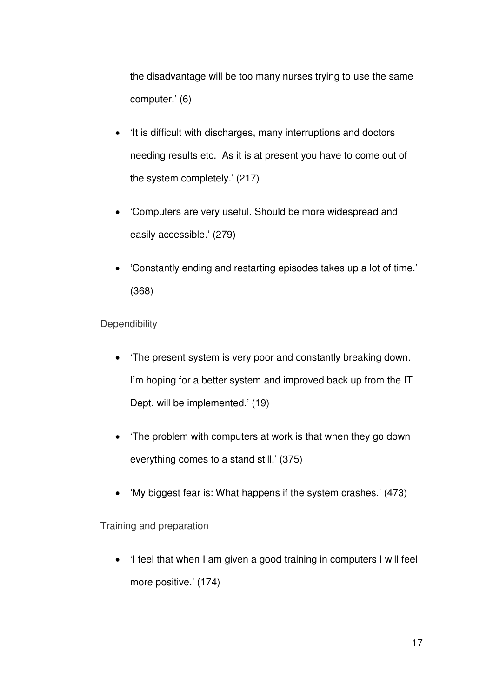the disadvantage will be too many nurses trying to use the same computer.' (6)

- 'It is difficult with discharges, many interruptions and doctors needing results etc. As it is at present you have to come out of the system completely.' (217)
- 'Computers are very useful. Should be more widespread and easily accessible.' (279)
- 'Constantly ending and restarting episodes takes up a lot of time.' (368)

**Dependibility** 

- 'The present system is very poor and constantly breaking down. I'm hoping for a better system and improved back up from the IT Dept. will be implemented.' (19)
- 'The problem with computers at work is that when they go down everything comes to a stand still.' (375)
- 'My biggest fear is: What happens if the system crashes.' (473)

Training and preparation

• 'I feel that when I am given a good training in computers I will feel more positive.' (174)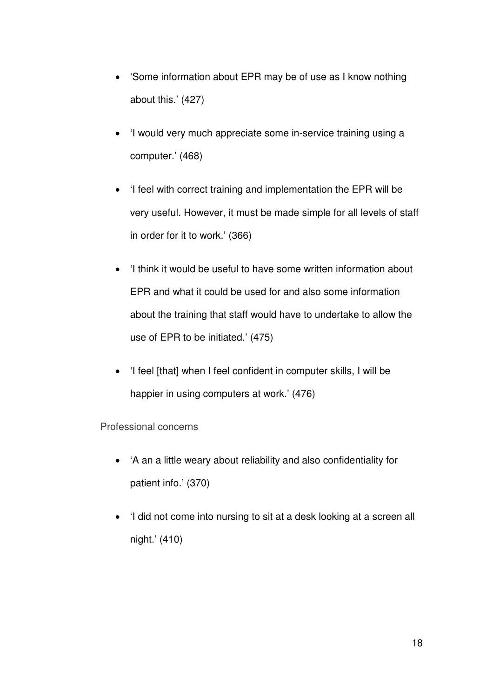- 'Some information about EPR may be of use as I know nothing about this.' (427)
- 'I would very much appreciate some in-service training using a computer.' (468)
- 'I feel with correct training and implementation the EPR will be very useful. However, it must be made simple for all levels of staff in order for it to work.' (366)
- 'I think it would be useful to have some written information about EPR and what it could be used for and also some information about the training that staff would have to undertake to allow the use of EPR to be initiated.' (475)
- 'I feel [that] when I feel confident in computer skills, I will be happier in using computers at work.' (476)

# Professional concerns

- 'A an a little weary about reliability and also confidentiality for patient info.' (370)
- 'I did not come into nursing to sit at a desk looking at a screen all night.' (410)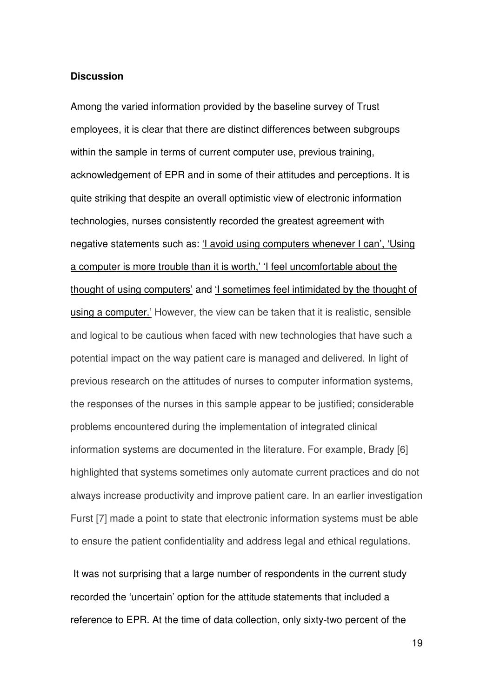#### **Discussion**

Among the varied information provided by the baseline survey of Trust employees, it is clear that there are distinct differences between subgroups within the sample in terms of current computer use, previous training, acknowledgement of EPR and in some of their attitudes and perceptions. It is quite striking that despite an overall optimistic view of electronic information technologies, nurses consistently recorded the greatest agreement with negative statements such as: 'I avoid using computers whenever I can', 'Using a computer is more trouble than it is worth,' 'I feel uncomfortable about the thought of using computers' and 'I sometimes feel intimidated by the thought of using a computer.' However, the view can be taken that it is realistic, sensible and logical to be cautious when faced with new technologies that have such a potential impact on the way patient care is managed and delivered. In light of previous research on the attitudes of nurses to computer information systems, the responses of the nurses in this sample appear to be justified; considerable problems encountered during the implementation of integrated clinical information systems are documented in the literature. For example, Brady [6] highlighted that systems sometimes only automate current practices and do not always increase productivity and improve patient care. In an earlier investigation Furst [7] made a point to state that electronic information systems must be able to ensure the patient confidentiality and address legal and ethical regulations.

 It was not surprising that a large number of respondents in the current study recorded the 'uncertain' option for the attitude statements that included a reference to EPR. At the time of data collection, only sixty-two percent of the

19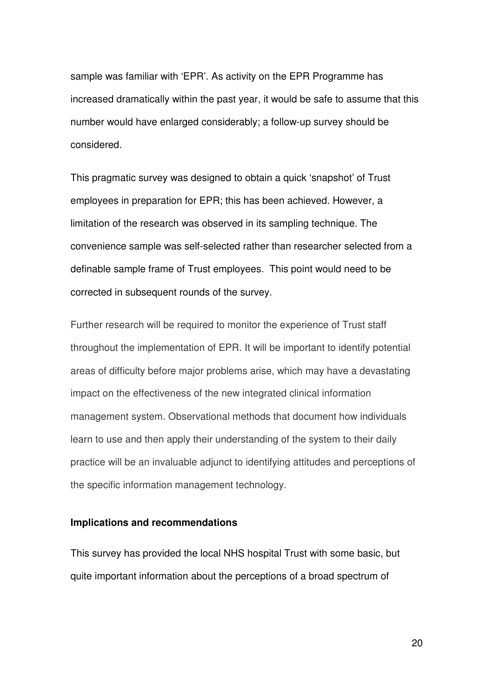sample was familiar with 'EPR'. As activity on the EPR Programme has increased dramatically within the past year, it would be safe to assume that this number would have enlarged considerably; a follow-up survey should be considered.

This pragmatic survey was designed to obtain a quick 'snapshot' of Trust employees in preparation for EPR; this has been achieved. However, a limitation of the research was observed in its sampling technique. The convenience sample was self-selected rather than researcher selected from a definable sample frame of Trust employees. This point would need to be corrected in subsequent rounds of the survey.

Further research will be required to monitor the experience of Trust staff throughout the implementation of EPR. It will be important to identify potential areas of difficulty before major problems arise, which may have a devastating impact on the effectiveness of the new integrated clinical information management system. Observational methods that document how individuals learn to use and then apply their understanding of the system to their daily practice will be an invaluable adjunct to identifying attitudes and perceptions of the specific information management technology.

# **Implications and recommendations**

This survey has provided the local NHS hospital Trust with some basic, but quite important information about the perceptions of a broad spectrum of

20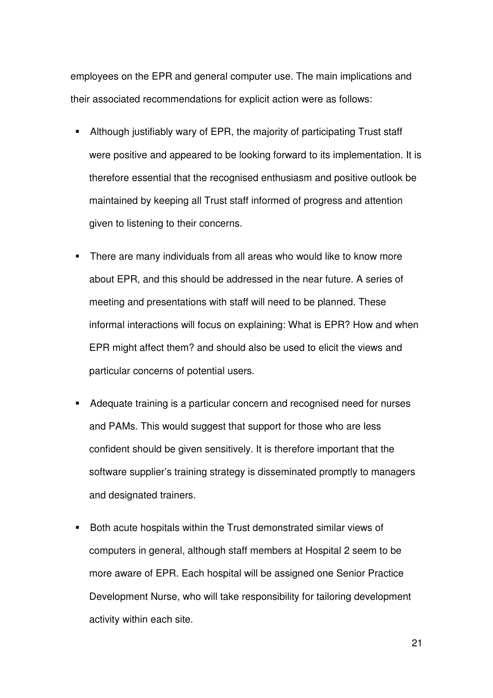employees on the EPR and general computer use. The main implications and their associated recommendations for explicit action were as follows:

- Although justifiably wary of EPR, the majority of participating Trust staff were positive and appeared to be looking forward to its implementation. It is therefore essential that the recognised enthusiasm and positive outlook be maintained by keeping all Trust staff informed of progress and attention given to listening to their concerns.
- **There are many individuals from all areas who would like to know more** about EPR, and this should be addressed in the near future. A series of meeting and presentations with staff will need to be planned. These informal interactions will focus on explaining: What is EPR? How and when EPR might affect them? and should also be used to elicit the views and particular concerns of potential users.
- Adequate training is a particular concern and recognised need for nurses and PAMs. This would suggest that support for those who are less confident should be given sensitively. It is therefore important that the software supplier's training strategy is disseminated promptly to managers and designated trainers.
- Both acute hospitals within the Trust demonstrated similar views of computers in general, although staff members at Hospital 2 seem to be more aware of EPR. Each hospital will be assigned one Senior Practice Development Nurse, who will take responsibility for tailoring development activity within each site.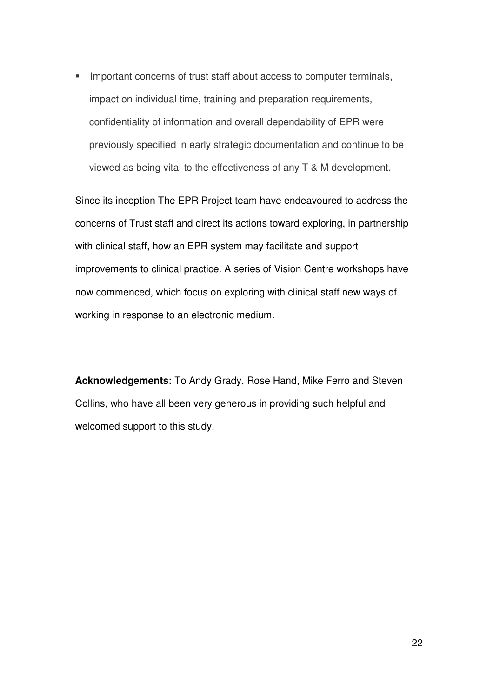**IMPORTANTIAGORY INTER 15 IMPORTANT IN THE IMPORTANT IN THE IMPORTANT IN IMPORTANT IN THE IMPORTANT IN THE IMPORTANT IN THE IMPORTANT IN THE IMPORTANT IN THE IMPORTANT IN THE IMPORTANT IN THE IMPORTANT IN THE IMPORTANT IN** impact on individual time, training and preparation requirements, confidentiality of information and overall dependability of EPR were previously specified in early strategic documentation and continue to be viewed as being vital to the effectiveness of any T & M development.

Since its inception The EPR Project team have endeavoured to address the concerns of Trust staff and direct its actions toward exploring, in partnership with clinical staff, how an EPR system may facilitate and support improvements to clinical practice. A series of Vision Centre workshops have now commenced, which focus on exploring with clinical staff new ways of working in response to an electronic medium.

**Acknowledgements:** To Andy Grady, Rose Hand, Mike Ferro and Steven Collins, who have all been very generous in providing such helpful and welcomed support to this study.